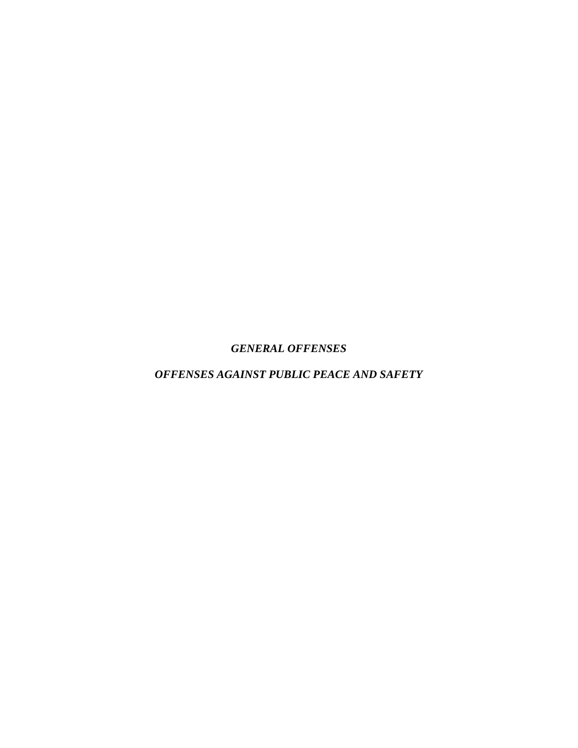*GENERAL OFFENSES*

*OFFENSES AGAINST PUBLIC PEACE AND SAFETY*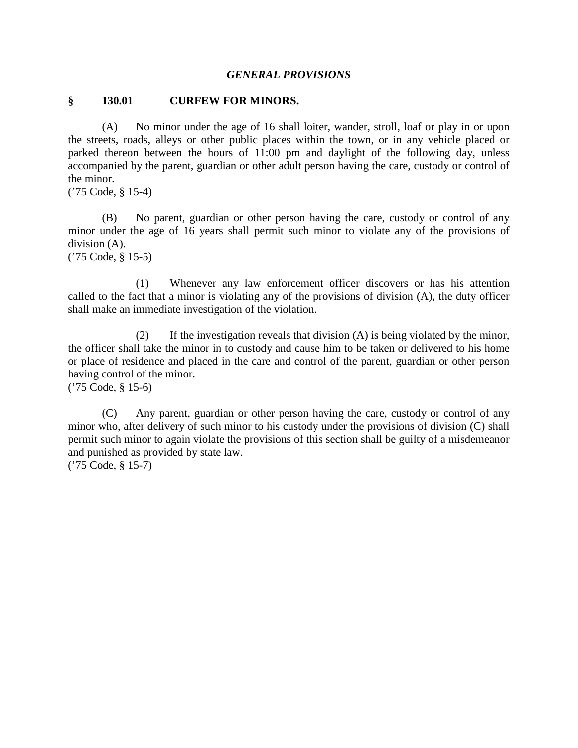#### *GENERAL PROVISIONS*

#### **§ 130.01 CURFEW FOR MINORS.**

(A) No minor under the age of 16 shall loiter, wander, stroll, loaf or play in or upon the streets, roads, alleys or other public places within the town, or in any vehicle placed or parked thereon between the hours of 11:00 pm and daylight of the following day, unless accompanied by the parent, guardian or other adult person having the care, custody or control of the minor.

('75 Code, § 15-4)

(B) No parent, guardian or other person having the care, custody or control of any minor under the age of 16 years shall permit such minor to violate any of the provisions of division (A).

('75 Code, § 15-5)

(1) Whenever any law enforcement officer discovers or has his attention called to the fact that a minor is violating any of the provisions of division (A), the duty officer shall make an immediate investigation of the violation.

(2) If the investigation reveals that division (A) is being violated by the minor, the officer shall take the minor in to custody and cause him to be taken or delivered to his home or place of residence and placed in the care and control of the parent, guardian or other person having control of the minor.

('75 Code, § 15-6)

(C) Any parent, guardian or other person having the care, custody or control of any minor who, after delivery of such minor to his custody under the provisions of division (C) shall permit such minor to again violate the provisions of this section shall be guilty of a misdemeanor and punished as provided by state law.

('75 Code, § 15-7)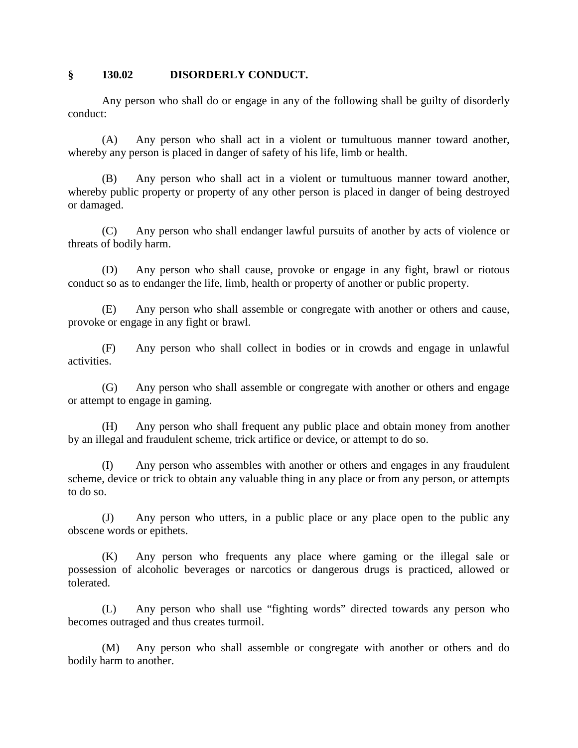#### **§ 130.02 DISORDERLY CONDUCT.**

Any person who shall do or engage in any of the following shall be guilty of disorderly conduct:

(A) Any person who shall act in a violent or tumultuous manner toward another, whereby any person is placed in danger of safety of his life, limb or health.

(B) Any person who shall act in a violent or tumultuous manner toward another, whereby public property or property of any other person is placed in danger of being destroyed or damaged.

(C) Any person who shall endanger lawful pursuits of another by acts of violence or threats of bodily harm.

(D) Any person who shall cause, provoke or engage in any fight, brawl or riotous conduct so as to endanger the life, limb, health or property of another or public property.

(E) Any person who shall assemble or congregate with another or others and cause, provoke or engage in any fight or brawl.

(F) Any person who shall collect in bodies or in crowds and engage in unlawful activities.

(G) Any person who shall assemble or congregate with another or others and engage or attempt to engage in gaming.

(H) Any person who shall frequent any public place and obtain money from another by an illegal and fraudulent scheme, trick artifice or device, or attempt to do so.

(I) Any person who assembles with another or others and engages in any fraudulent scheme, device or trick to obtain any valuable thing in any place or from any person, or attempts to do so.

(J) Any person who utters, in a public place or any place open to the public any obscene words or epithets.

(K) Any person who frequents any place where gaming or the illegal sale or possession of alcoholic beverages or narcotics or dangerous drugs is practiced, allowed or tolerated.

(L) Any person who shall use "fighting words" directed towards any person who becomes outraged and thus creates turmoil.

(M) Any person who shall assemble or congregate with another or others and do bodily harm to another.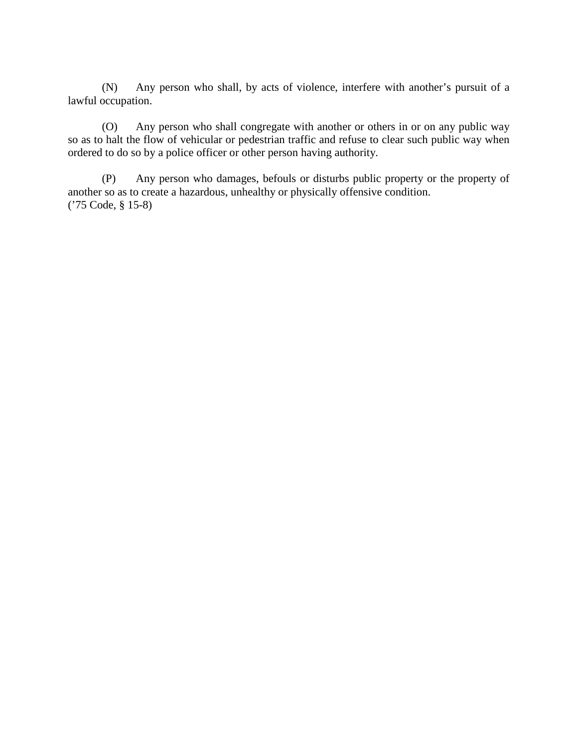(N) Any person who shall, by acts of violence, interfere with another's pursuit of a lawful occupation.

(O) Any person who shall congregate with another or others in or on any public way so as to halt the flow of vehicular or pedestrian traffic and refuse to clear such public way when ordered to do so by a police officer or other person having authority.

(P) Any person who damages, befouls or disturbs public property or the property of another so as to create a hazardous, unhealthy or physically offensive condition. ('75 Code, § 15-8)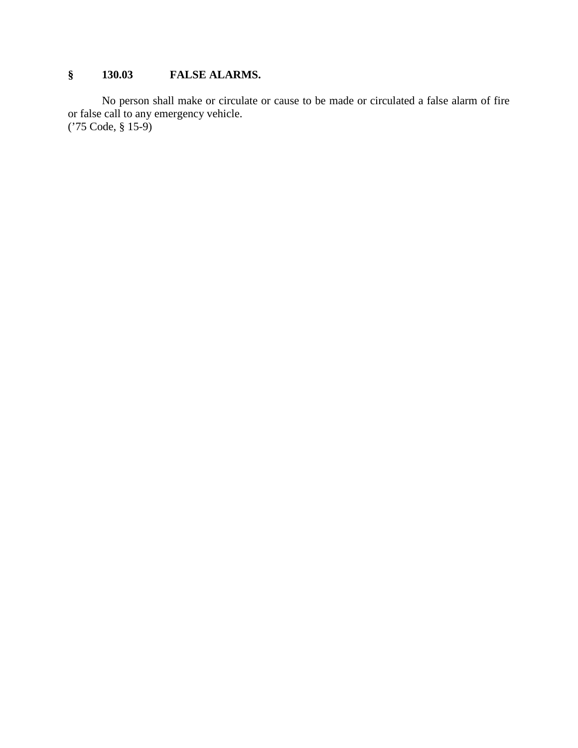# **§ 130.03 FALSE ALARMS.**

No person shall make or circulate or cause to be made or circulated a false alarm of fire or false call to any emergency vehicle. ('75 Code, § 15-9)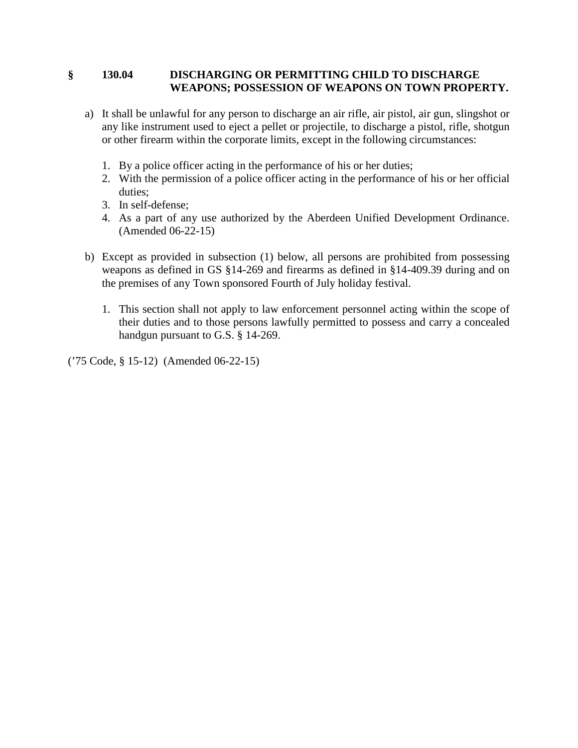## **§ 130.04 DISCHARGING OR PERMITTING CHILD TO DISCHARGE WEAPONS; POSSESSION OF WEAPONS ON TOWN PROPERTY.**

- a) It shall be unlawful for any person to discharge an air rifle, air pistol, air gun, slingshot or any like instrument used to eject a pellet or projectile, to discharge a pistol, rifle, shotgun or other firearm within the corporate limits, except in the following circumstances:
	- 1. By a police officer acting in the performance of his or her duties;
	- 2. With the permission of a police officer acting in the performance of his or her official duties;
	- 3. In self-defense;
	- 4. As a part of any use authorized by the Aberdeen Unified Development Ordinance. (Amended 06-22-15)
- b) Except as provided in subsection (1) below, all persons are prohibited from possessing weapons as defined in GS §14-269 and firearms as defined in §14-409.39 during and on the premises of any Town sponsored Fourth of July holiday festival.
	- 1. This section shall not apply to law enforcement personnel acting within the scope of their duties and to those persons lawfully permitted to possess and carry a concealed handgun pursuant to G.S. § 14-269.

('75 Code, § 15-12) (Amended 06-22-15)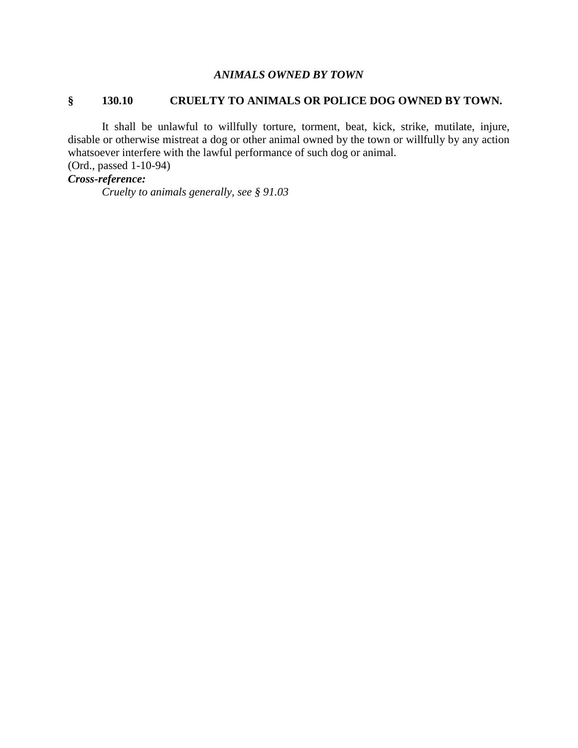## *ANIMALS OWNED BY TOWN*

#### **§ 130.10 CRUELTY TO ANIMALS OR POLICE DOG OWNED BY TOWN.**

It shall be unlawful to willfully torture, torment, beat, kick, strike, mutilate, injure, disable or otherwise mistreat a dog or other animal owned by the town or willfully by any action whatsoever interfere with the lawful performance of such dog or animal.

(Ord., passed 1-10-94)

# *Cross-reference:*

*Cruelty to animals generally, see § 91.03*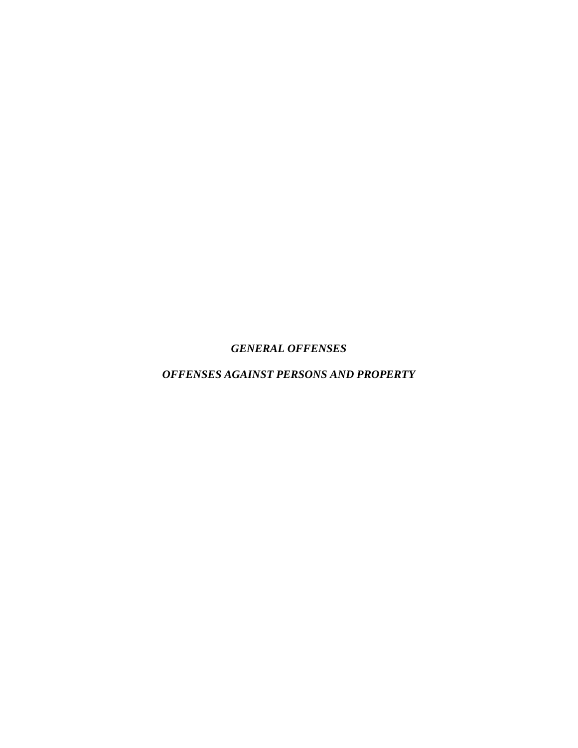*GENERAL OFFENSES*

*OFFENSES AGAINST PERSONS AND PROPERTY*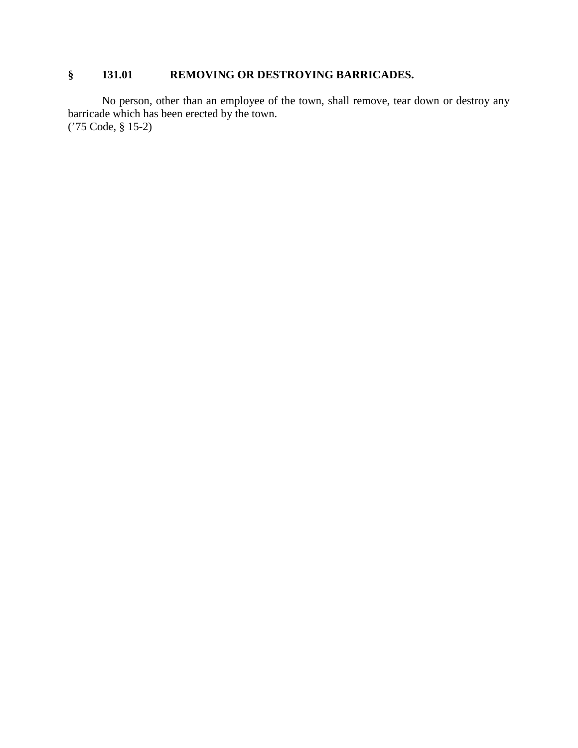## **§ 131.01 REMOVING OR DESTROYING BARRICADES.**

No person, other than an employee of the town, shall remove, tear down or destroy any barricade which has been erected by the town. ('75 Code, § 15-2)